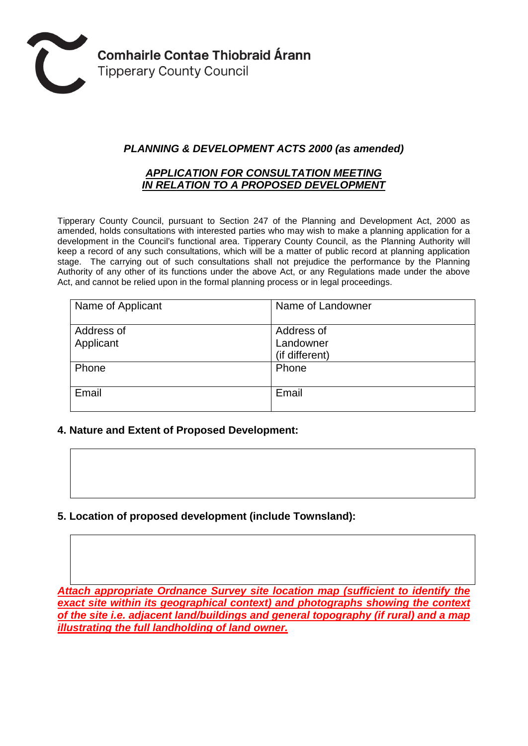

# *PLANNING & DEVELOPMENT ACTS 2000 (as amended)*

#### *APPLICATION FOR CONSULTATION MEETING IN RELATION TO A PROPOSED DEVELOPMENT*

Tipperary County Council, pursuant to Section 247 of the Planning and Development Act, 2000 as amended, holds consultations with interested parties who may wish to make a planning application for a development in the Council's functional area. Tipperary County Council, as the Planning Authority will keep a record of any such consultations, which will be a matter of public record at planning application stage. The carrying out of such consultations shall not prejudice the performance by the Planning Authority of any other of its functions under the above Act, or any Regulations made under the above Act, and cannot be relied upon in the formal planning process or in legal proceedings.

| Name of Applicant       | Name of Landowner                         |
|-------------------------|-------------------------------------------|
| Address of<br>Applicant | Address of<br>Landowner<br>(if different) |
| Phone                   | Phone                                     |
| Email                   | Email                                     |

### **4. Nature and Extent of Proposed Development:**

**5. Location of proposed development (include Townsland):**

*Attach appropriate Ordnance Survey site location map (sufficient to identify the exact site within its geographical context) and photographs showing the context of the site i.e. adjacent land/buildings and general topography (if rural) and a map illustrating the full landholding of land owner.*